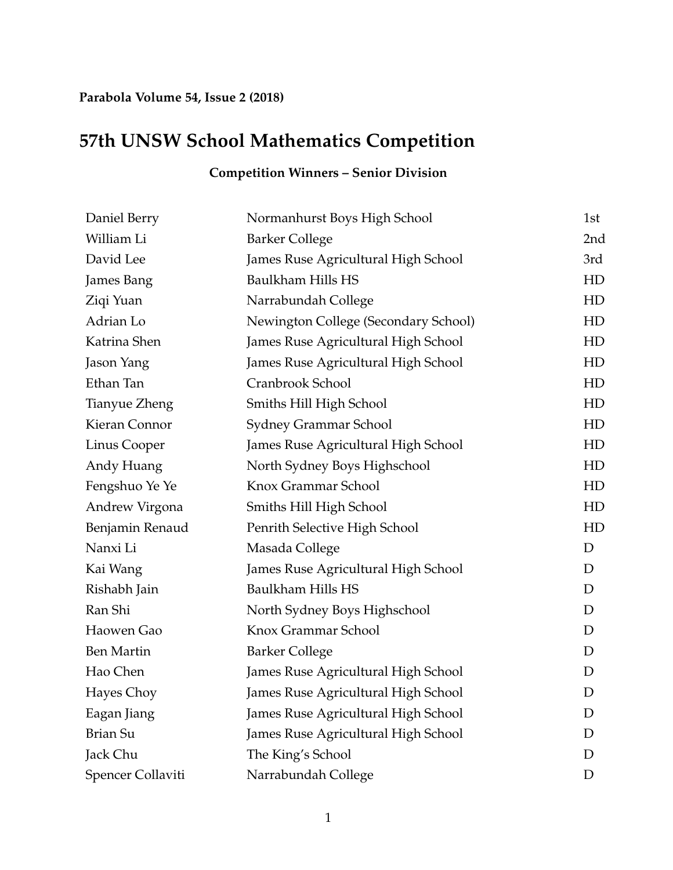## **Parabola Volume 54, Issue 2 (2018)**

## **57th UNSW School Mathematics Competition**

| Daniel Berry      | Normanhurst Boys High School         | 1st             |
|-------------------|--------------------------------------|-----------------|
| William Li        | <b>Barker College</b>                | 2 <sub>nd</sub> |
| David Lee         | James Ruse Agricultural High School  | 3rd             |
| James Bang        | Baulkham Hills HS                    | HD              |
| Ziqi Yuan         | Narrabundah College                  | HD              |
| Adrian Lo         | Newington College (Secondary School) | HD              |
| Katrina Shen      | James Ruse Agricultural High School  | HD              |
| Jason Yang        | James Ruse Agricultural High School  | HD              |
| Ethan Tan         | Cranbrook School                     | HD              |
| Tianyue Zheng     | Smiths Hill High School              | HD              |
| Kieran Connor     | Sydney Grammar School                | HD              |
| Linus Cooper      | James Ruse Agricultural High School  | HD              |
| Andy Huang        | North Sydney Boys Highschool         | HD              |
| Fengshuo Ye Ye    | Knox Grammar School                  | HD              |
| Andrew Virgona    | Smiths Hill High School              | HD              |
| Benjamin Renaud   | Penrith Selective High School        | HD              |
| Nanxi Li          | Masada College                       | D               |
| Kai Wang          | James Ruse Agricultural High School  | D               |
| Rishabh Jain      | Baulkham Hills HS                    | D               |
| Ran Shi           | North Sydney Boys Highschool         | D               |
| Haowen Gao        | Knox Grammar School                  | D               |
| <b>Ben Martin</b> | <b>Barker College</b>                | D               |
| Hao Chen          | James Ruse Agricultural High School  | D               |
| Hayes Choy        | James Ruse Agricultural High School  | D               |
| Eagan Jiang       | James Ruse Agricultural High School  | D               |
| <b>Brian Su</b>   | James Ruse Agricultural High School  | D               |
| Jack Chu          | The King's School                    | D               |
| Spencer Collaviti | Narrabundah College                  | D               |

## **Competition Winners – Senior Division**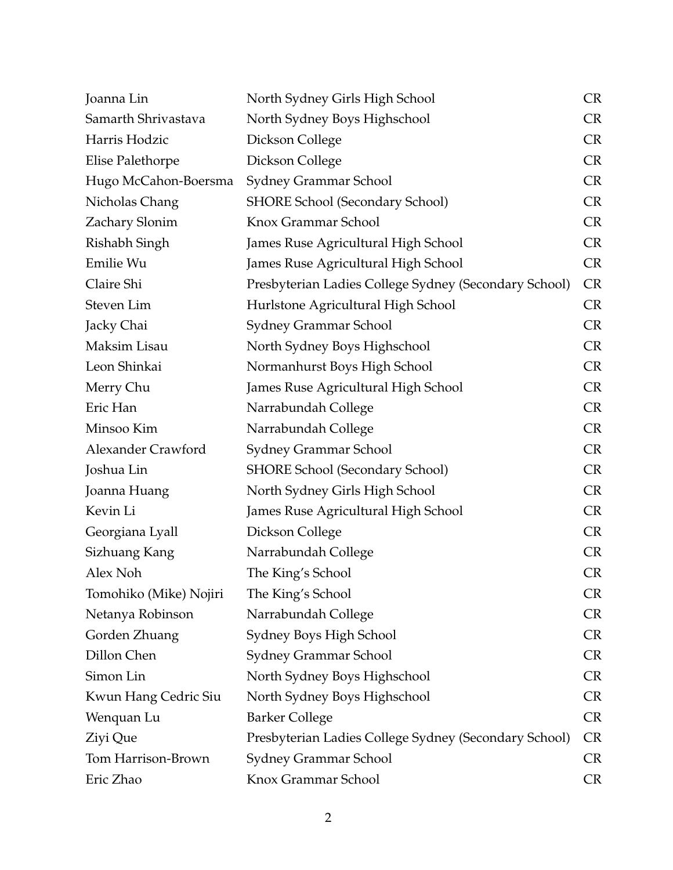| Joanna Lin              | North Sydney Girls High School                        | <b>CR</b> |
|-------------------------|-------------------------------------------------------|-----------|
| Samarth Shrivastava     | North Sydney Boys Highschool                          | <b>CR</b> |
| Harris Hodzic           | Dickson College                                       | <b>CR</b> |
| <b>Elise Palethorpe</b> | Dickson College                                       | <b>CR</b> |
| Hugo McCahon-Boersma    | Sydney Grammar School                                 | <b>CR</b> |
| Nicholas Chang          | <b>SHORE School (Secondary School)</b>                | <b>CR</b> |
| Zachary Slonim          | Knox Grammar School                                   | <b>CR</b> |
| Rishabh Singh           | James Ruse Agricultural High School                   | <b>CR</b> |
| Emilie Wu               | James Ruse Agricultural High School                   | <b>CR</b> |
| Claire Shi              | Presbyterian Ladies College Sydney (Secondary School) | <b>CR</b> |
| Steven Lim              | Hurlstone Agricultural High School                    | <b>CR</b> |
| Jacky Chai              | Sydney Grammar School                                 | <b>CR</b> |
| Maksim Lisau            | North Sydney Boys Highschool                          | <b>CR</b> |
| Leon Shinkai            | Normanhurst Boys High School                          | <b>CR</b> |
| Merry Chu               | James Ruse Agricultural High School                   | <b>CR</b> |
| Eric Han                | Narrabundah College                                   | <b>CR</b> |
| Minsoo Kim              | Narrabundah College                                   | <b>CR</b> |
| Alexander Crawford      | Sydney Grammar School                                 | <b>CR</b> |
| Joshua Lin              | <b>SHORE School (Secondary School)</b>                | <b>CR</b> |
| Joanna Huang            | North Sydney Girls High School                        | <b>CR</b> |
| Kevin Li                | James Ruse Agricultural High School                   | <b>CR</b> |
| Georgiana Lyall         | Dickson College                                       | <b>CR</b> |
| Sizhuang Kang           | Narrabundah College                                   | <b>CR</b> |
| Alex Noh                | The King's School                                     | <b>CR</b> |
| Tomohiko (Mike) Nojiri  | The King's School                                     | <b>CR</b> |
| Netanya Robinson        | Narrabundah College                                   | <b>CR</b> |
| Gorden Zhuang           | Sydney Boys High School                               | <b>CR</b> |
| Dillon Chen             | Sydney Grammar School                                 | <b>CR</b> |
| Simon Lin               | North Sydney Boys Highschool                          | <b>CR</b> |
| Kwun Hang Cedric Siu    | North Sydney Boys Highschool                          | <b>CR</b> |
| Wenquan Lu              | <b>Barker College</b>                                 | <b>CR</b> |
| Ziyi Que                | Presbyterian Ladies College Sydney (Secondary School) | <b>CR</b> |
| Tom Harrison-Brown      | Sydney Grammar School                                 | <b>CR</b> |
| Eric Zhao               | Knox Grammar School                                   | <b>CR</b> |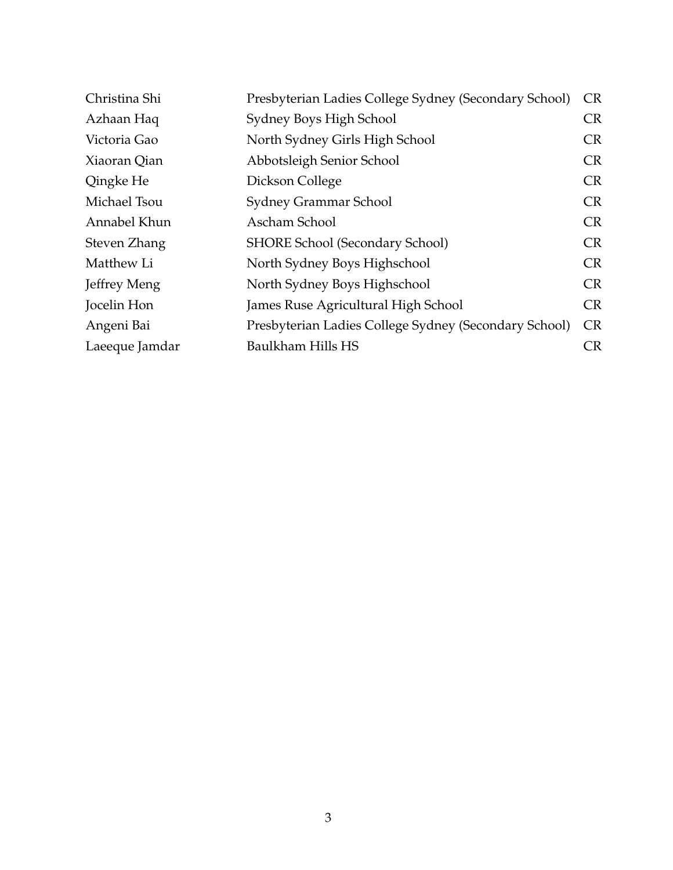| Christina Shi  | Presbyterian Ladies College Sydney (Secondary School) | <b>CR</b> |
|----------------|-------------------------------------------------------|-----------|
| Azhaan Haq     | Sydney Boys High School                               | <b>CR</b> |
| Victoria Gao   | North Sydney Girls High School                        | <b>CR</b> |
| Xiaoran Qian   | Abbotsleigh Senior School                             | <b>CR</b> |
| Qingke He      | Dickson College                                       | <b>CR</b> |
| Michael Tsou   | Sydney Grammar School                                 | <b>CR</b> |
| Annabel Khun   | Ascham School                                         | <b>CR</b> |
| Steven Zhang   | <b>SHORE School (Secondary School)</b>                | <b>CR</b> |
| Matthew Li     | North Sydney Boys Highschool                          | <b>CR</b> |
| Jeffrey Meng   | North Sydney Boys Highschool                          | <b>CR</b> |
| Jocelin Hon    | James Ruse Agricultural High School                   | <b>CR</b> |
| Angeni Bai     | Presbyterian Ladies College Sydney (Secondary School) | <b>CR</b> |
| Laeeque Jamdar | Baulkham Hills HS                                     | CR        |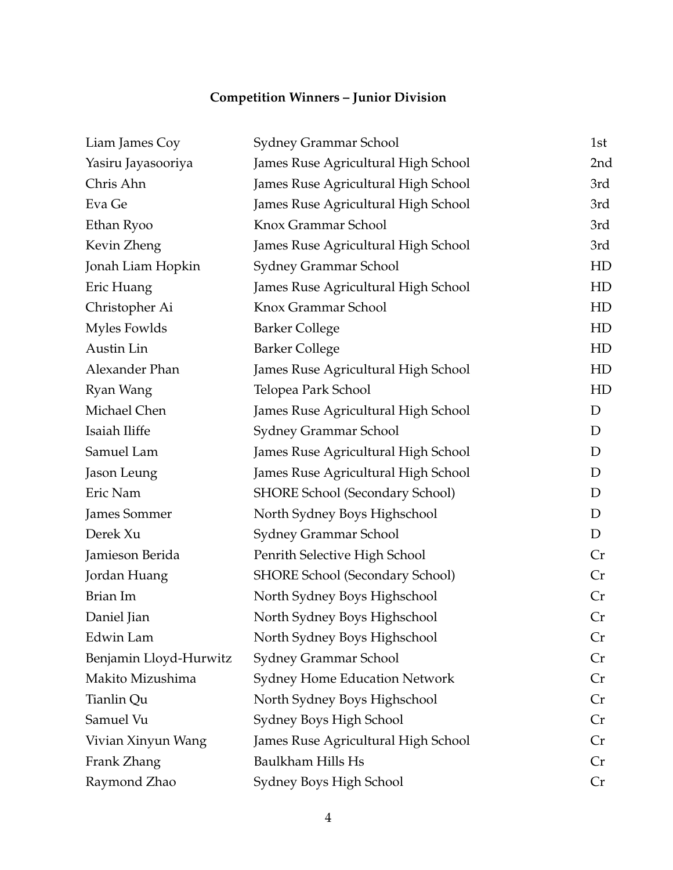## **Competition Winners – Junior Division**

| Liam James Coy         | Sydney Grammar School                  | 1st             |
|------------------------|----------------------------------------|-----------------|
| Yasiru Jayasooriya     | James Ruse Agricultural High School    | 2 <sub>nd</sub> |
| Chris Ahn              | James Ruse Agricultural High School    | 3rd             |
| Eva Ge                 | James Ruse Agricultural High School    | 3rd             |
| Ethan Ryoo             | Knox Grammar School                    | 3rd             |
| Kevin Zheng            | James Ruse Agricultural High School    | 3rd             |
| Jonah Liam Hopkin      | Sydney Grammar School                  | HD              |
| Eric Huang             | James Ruse Agricultural High School    | HD              |
| Christopher Ai         | Knox Grammar School                    | HD              |
| Myles Fowlds           | <b>Barker College</b>                  | HD              |
| Austin Lin             | <b>Barker College</b>                  | HD              |
| Alexander Phan         | James Ruse Agricultural High School    | HD              |
| Ryan Wang              | Telopea Park School                    | HD              |
| Michael Chen           | James Ruse Agricultural High School    | D               |
| Isaiah Iliffe          | Sydney Grammar School                  | D               |
| Samuel Lam             | James Ruse Agricultural High School    | D               |
| Jason Leung            | James Ruse Agricultural High School    | D               |
| Eric Nam               | <b>SHORE School (Secondary School)</b> | D               |
| James Sommer           | North Sydney Boys Highschool           | D               |
| Derek Xu               | <b>Sydney Grammar School</b>           | D               |
| Jamieson Berida        | Penrith Selective High School          | Cr              |
| Jordan Huang           | <b>SHORE School (Secondary School)</b> | Cr              |
| Brian Im               | North Sydney Boys Highschool           | Cr              |
| Daniel Jian            | North Sydney Boys Highschool           | Cr              |
| Edwin Lam              | North Sydney Boys Highschool           | Cr              |
| Benjamin Lloyd-Hurwitz | Sydney Grammar School                  | Cr              |
| Makito Mizushima       | <b>Sydney Home Education Network</b>   | Cr              |
| Tianlin Qu             | North Sydney Boys Highschool           | Cr              |
| Samuel Vu              | Sydney Boys High School                | Cr              |
| Vivian Xinyun Wang     | James Ruse Agricultural High School    | Cr              |
| Frank Zhang            | <b>Baulkham Hills Hs</b>               | Cr              |
| Raymond Zhao           | Sydney Boys High School                | Cr              |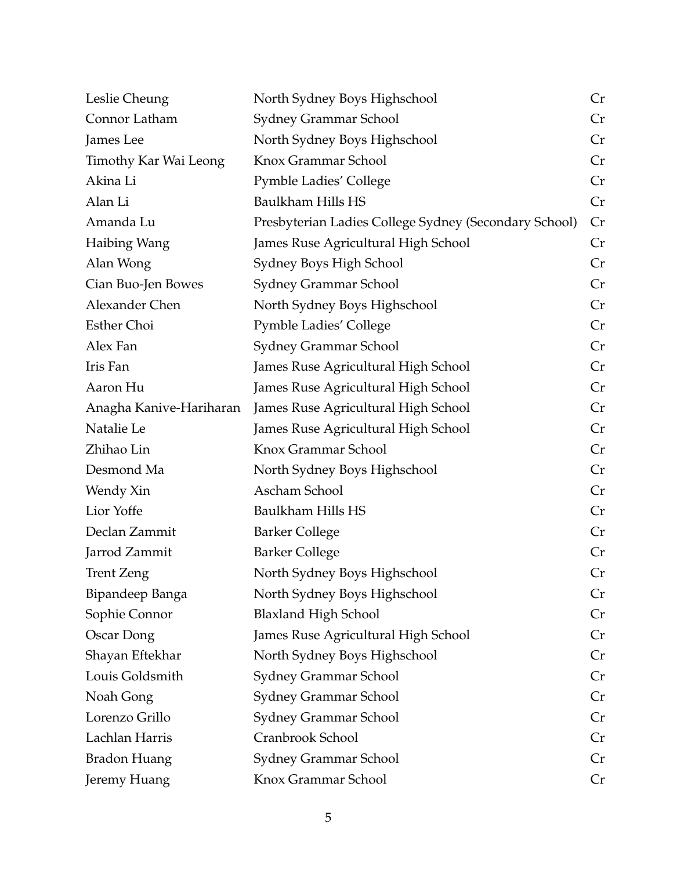| Leslie Cheung                | North Sydney Boys Highschool                          | Cr |
|------------------------------|-------------------------------------------------------|----|
| Connor Latham                | Sydney Grammar School                                 | Cr |
| James Lee                    | North Sydney Boys Highschool                          | Cr |
| <b>Timothy Kar Wai Leong</b> | Knox Grammar School                                   | Cr |
| Akina Li                     | <b>Pymble Ladies' College</b>                         | Cr |
| Alan Li                      | <b>Baulkham Hills HS</b>                              | Cr |
| Amanda Lu                    | Presbyterian Ladies College Sydney (Secondary School) | Cr |
| Haibing Wang                 | James Ruse Agricultural High School                   | Cr |
| Alan Wong                    | Sydney Boys High School                               | Cr |
| Cian Buo-Jen Bowes           | Sydney Grammar School                                 | Cr |
| Alexander Chen               | North Sydney Boys Highschool                          | Cr |
| <b>Esther Choi</b>           | <b>Pymble Ladies' College</b>                         | Cr |
| Alex Fan                     | Sydney Grammar School                                 | Cr |
| Iris Fan                     | James Ruse Agricultural High School                   | Cr |
| Aaron Hu                     | James Ruse Agricultural High School                   | Cr |
| Anagha Kanive-Hariharan      | James Ruse Agricultural High School                   | Cr |
| Natalie Le                   | James Ruse Agricultural High School                   | Cr |
| Zhihao Lin                   | Knox Grammar School                                   | Cr |
| Desmond Ma                   | North Sydney Boys Highschool                          | Cr |
| Wendy Xin                    | Ascham School                                         | Cr |
| Lior Yoffe                   | Baulkham Hills HS                                     | Cr |
| Declan Zammit                | <b>Barker College</b>                                 | Cr |
| Jarrod Zammit                | <b>Barker College</b>                                 | Cr |
| <b>Trent Zeng</b>            | North Sydney Boys Highschool                          | Cr |
| Bipandeep Banga              | North Sydney Boys Highschool                          | Cr |
| Sophie Connor                | <b>Blaxland High School</b>                           | Cr |
| Oscar Dong                   | James Ruse Agricultural High School                   | Cr |
| Shayan Eftekhar              | North Sydney Boys Highschool                          | Cr |
| Louis Goldsmith              | Sydney Grammar School                                 | Cr |
| Noah Gong                    | Sydney Grammar School                                 | Cr |
| Lorenzo Grillo               | <b>Sydney Grammar School</b>                          | Cr |
| Lachlan Harris               | Cranbrook School                                      | Cr |
| <b>Bradon Huang</b>          | Sydney Grammar School                                 | Cr |
| Jeremy Huang                 | Knox Grammar School                                   | Cr |